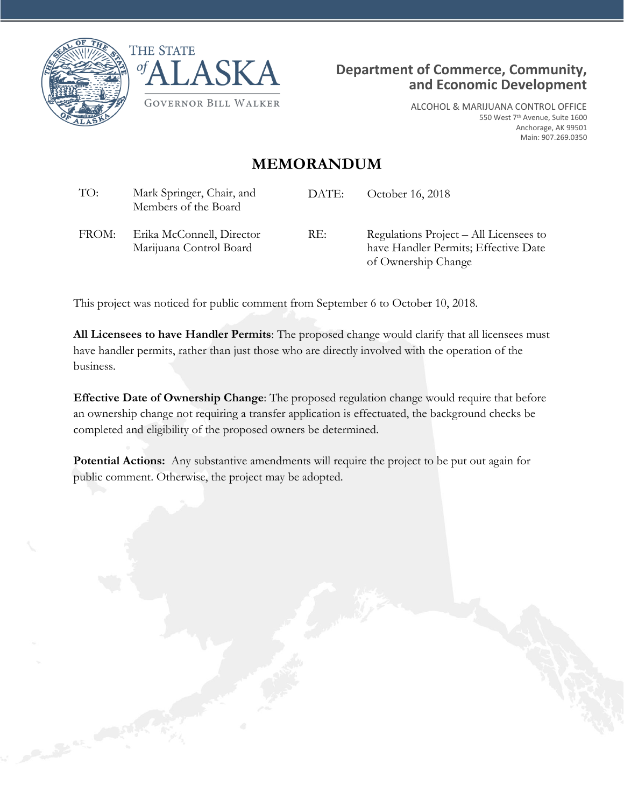

Caroline Company





ALCOHOL & MARIJUANA CONTROL OFFICE 550 West 7th Avenue, Suite 1600 Anchorage, AK 99501 Main: 907.269.0350

## **MEMORANDUM**

| TO:   | Mark Springer, Chair, and<br>Members of the Board    | DATE: | October 16, 2018                                                                                      |
|-------|------------------------------------------------------|-------|-------------------------------------------------------------------------------------------------------|
| FROM: | Erika McConnell, Director<br>Marijuana Control Board | RE:   | Regulations Project – All Licensees to<br>have Handler Permits; Effective Date<br>of Ownership Change |

This project was noticed for public comment from September 6 to October 10, 2018.

**All Licensees to have Handler Permits**: The proposed change would clarify that all licensees must have handler permits, rather than just those who are directly involved with the operation of the business.

**Effective Date of Ownership Change**: The proposed regulation change would require that before an ownership change not requiring a transfer application is effectuated, the background checks be completed and eligibility of the proposed owners be determined.

**Potential Actions:** Any substantive amendments will require the project to be put out again for public comment. Otherwise, the project may be adopted.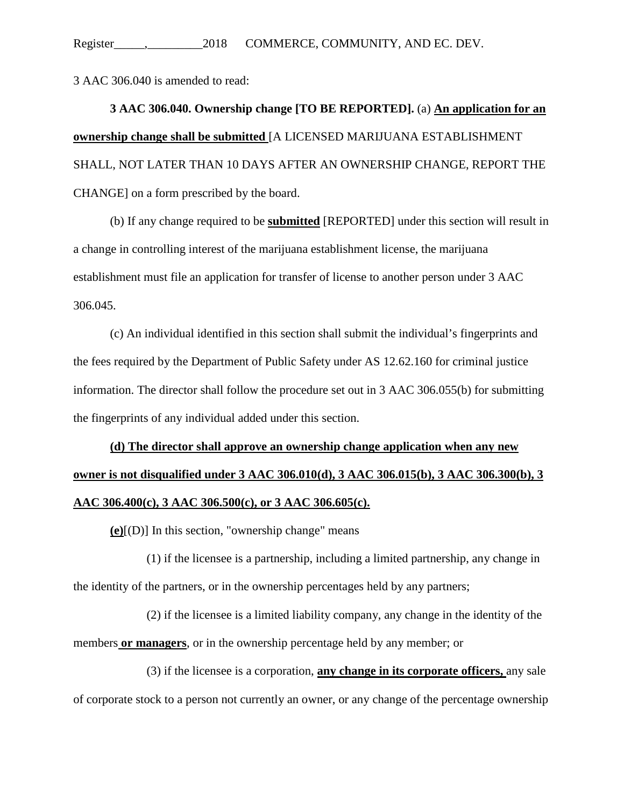3 AAC 306.040 is amended to read:

**3 AAC 306.040. Ownership change [TO BE REPORTED].** (a) **An application for an ownership change shall be submitted** [A LICENSED MARIJUANA ESTABLISHMENT SHALL, NOT LATER THAN 10 DAYS AFTER AN OWNERSHIP CHANGE, REPORT THE CHANGE] on a form prescribed by the board.

(b) If any change required to be **submitted** [REPORTED] under this section will result in a change in controlling interest of the marijuana establishment license, the marijuana establishment must file an application for transfer of license to another person under 3 AAC 306.045.

(c) An individual identified in this section shall submit the individual's fingerprints and the fees required by the Department of Public Safety under AS 12.62.160 for criminal justice information. The director shall follow the procedure set out in 3 AAC 306.055(b) for submitting the fingerprints of any individual added under this section.

## **(d) The director shall approve an ownership change application when any new owner is not disqualified under 3 AAC 306.010(d), 3 AAC 306.015(b), 3 AAC 306.300(b), 3 AAC 306.400(c), 3 AAC 306.500(c), or 3 AAC 306.605(c).**

**(e)**[(D)] In this section, "ownership change" means

(1) if the licensee is a partnership, including a limited partnership, any change in the identity of the partners, or in the ownership percentages held by any partners;

(2) if the licensee is a limited liability company, any change in the identity of the members **or managers**, or in the ownership percentage held by any member; or

(3) if the licensee is a corporation, **any change in its corporate officers,** any sale of corporate stock to a person not currently an owner, or any change of the percentage ownership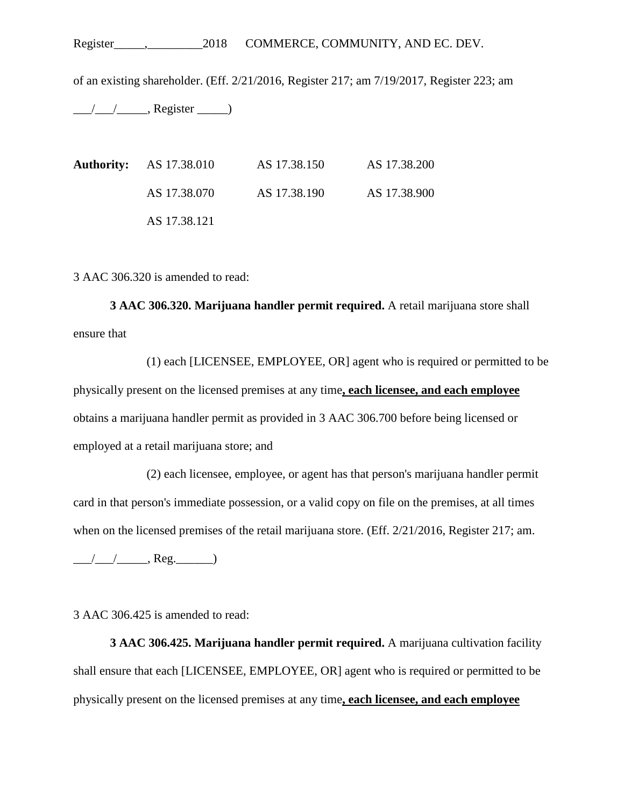of an existing shareholder. (Eff. 2/21/2016, Register 217; am 7/19/2017, Register 223; am

 $\frac{1}{\sqrt{2\pi}}$ , Register  $\frac{1}{\sqrt{2\pi}}$ 

**Authority:** AS 17.38.010 AS 17.38.150 AS 17.38.200 AS 17.38.070 AS 17.38.190 AS 17.38.900 AS 17.38.121

3 AAC 306.320 is amended to read:

**3 AAC 306.320. Marijuana handler permit required.** A retail marijuana store shall ensure that

(1) each [LICENSEE, EMPLOYEE, OR] agent who is required or permitted to be physically present on the licensed premises at any time**, each licensee, and each employee** obtains a marijuana handler permit as provided in 3 AAC 306.700 before being licensed or employed at a retail marijuana store; and

(2) each licensee, employee, or agent has that person's marijuana handler permit card in that person's immediate possession, or a valid copy on file on the premises, at all times when on the licensed premises of the retail marijuana store. (Eff.  $2/21/2016$ , Register 217; am.

 $\frac{1}{2}$  Reg.  $\frac{1}{2}$  Reg.

3 AAC 306.425 is amended to read:

**3 AAC 306.425. Marijuana handler permit required.** A marijuana cultivation facility shall ensure that each [LICENSEE, EMPLOYEE, OR] agent who is required or permitted to be physically present on the licensed premises at any time**, each licensee, and each employee**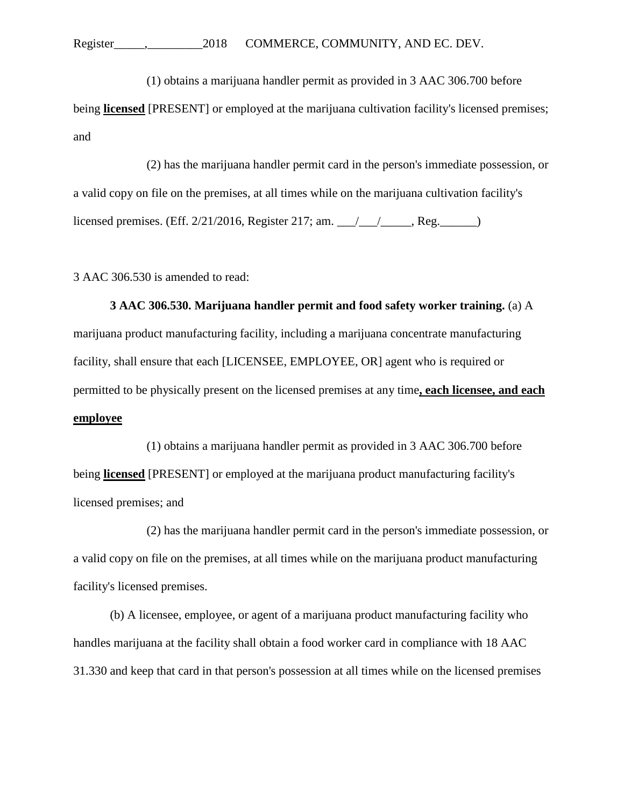(1) obtains a marijuana handler permit as provided in 3 AAC 306.700 before

being **licensed** [PRESENT] or employed at the marijuana cultivation facility's licensed premises; and

(2) has the marijuana handler permit card in the person's immediate possession, or a valid copy on file on the premises, at all times while on the marijuana cultivation facility's licensed premises. (Eff. 2/21/2016, Register 217; am. \_\_\_/\_\_\_/\_\_\_\_\_, Reg.\_\_\_\_\_\_)

3 AAC 306.530 is amended to read:

**3 AAC 306.530. Marijuana handler permit and food safety worker training.** (a) A marijuana product manufacturing facility, including a marijuana concentrate manufacturing facility, shall ensure that each [LICENSEE, EMPLOYEE, OR] agent who is required or permitted to be physically present on the licensed premises at any time**, each licensee, and each employee**

(1) obtains a marijuana handler permit as provided in 3 AAC 306.700 before being **licensed** [PRESENT] or employed at the marijuana product manufacturing facility's licensed premises; and

(2) has the marijuana handler permit card in the person's immediate possession, or a valid copy on file on the premises, at all times while on the marijuana product manufacturing facility's licensed premises.

(b) A licensee, employee, or agent of a marijuana product manufacturing facility who handles marijuana at the facility shall obtain a food worker card in compliance with 18 AAC 31.330 and keep that card in that person's possession at all times while on the licensed premises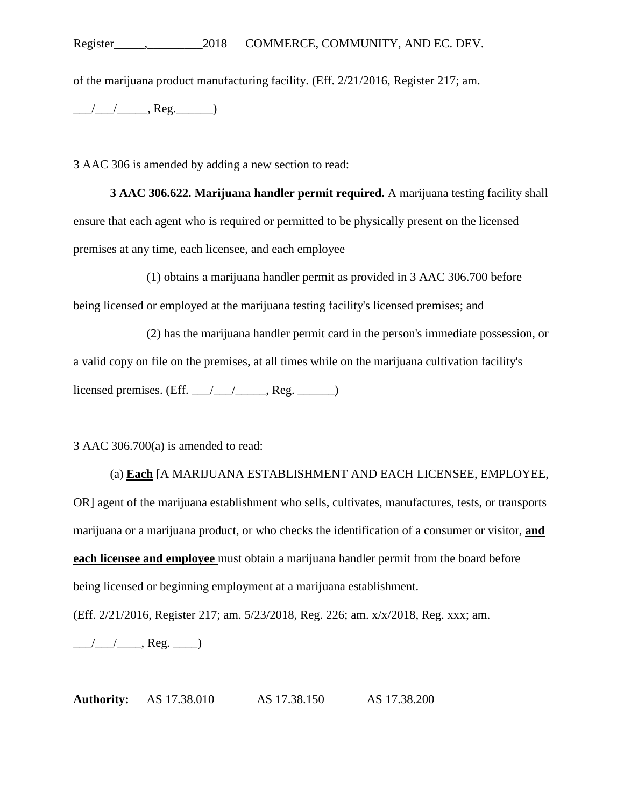of the marijuana product manufacturing facility. (Eff. 2/21/2016, Register 217; am.

 $\frac{1}{\sqrt{1-\frac{1}{2}}}\cos\theta$ , Reg.

3 AAC 306 is amended by adding a new section to read:

**3 AAC 306.622. Marijuana handler permit required.** A marijuana testing facility shall ensure that each agent who is required or permitted to be physically present on the licensed premises at any time, each licensee, and each employee

(1) obtains a marijuana handler permit as provided in 3 AAC 306.700 before being licensed or employed at the marijuana testing facility's licensed premises; and

(2) has the marijuana handler permit card in the person's immediate possession, or a valid copy on file on the premises, at all times while on the marijuana cultivation facility's licensed premises. (Eff.  $\angle$  / $\angle$  / $\angle$ , Reg.  $\angle$ 

3 AAC 306.700(a) is amended to read:

(a) **Each** [A MARIJUANA ESTABLISHMENT AND EACH LICENSEE, EMPLOYEE, OR] agent of the marijuana establishment who sells, cultivates, manufactures, tests, or transports marijuana or a marijuana product, or who checks the identification of a consumer or visitor, **and each licensee and employee** must obtain a marijuana handler permit from the board before being licensed or beginning employment at a marijuana establishment.

(Eff. 2/21/2016, Register 217; am. 5/23/2018, Reg. 226; am. x/x/2018, Reg. xxx; am.

 $\frac{1}{\sqrt{2\pi}}$ , Reg.  $\frac{1}{\sqrt{2\pi}}$ 

**Authority:** AS 17.38.010 AS 17.38.150 AS 17.38.200